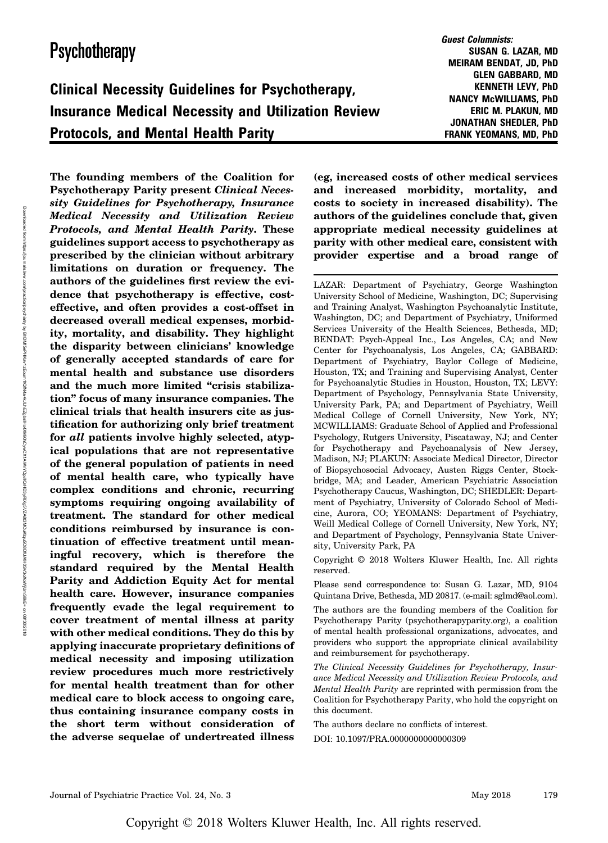# Insurance Medical Necessity and Utilization Review Protocols, and Mental Health Parity

Guest Columnists: SUSAN G. LAZAR, MD MEIRAM BENDAT, JD, PhD GLEN GABBARD, MD KENNETH LEVY, PhD NANCY McWILLIAMS, PhD ERIC M. PLAKUN, MD JONATHAN SHEDLER, PhD FRANK YEOMANS, MD, PhD

Downloaded from https://journals.lww.com/practicalpsychiatry ভ BhDMf5ePHXav1zEoum1tQfN4a+kJLhEZgbsHpAxXMi0hQywCX1AWNYQp/IQrHD3yRlXg5VZA8t3MCuKtqu5O8DfU/KH0SV3OXoXoXoXoXoXoXoW on 08/30/2018

The founding members of the Coalition for Psychotherapy Parity present Clinical Necessity Guidelines for Psychotherapy, Insurance Medical Necessity and Utilization Review Protocols, and Mental Health Parity. These guidelines support access to psychotherapy as prescribed by the clinician without arbitrary limitations on duration or frequency. The authors of the guidelines first review the evidence that psychotherapy is effective, costeffective, and often provides a cost-offset in decreased overall medical expenses, morbidity, mortality, and disability. They highlight the disparity between clinicians' knowledge of generally accepted standards of care for mental health and substance use disorders and the much more limited "crisis stabilization" focus of many insurance companies. The clinical trials that health insurers cite as justification for authorizing only brief treatment for all patients involve highly selected, atypical populations that are not representative of the general population of patients in need of mental health care, who typically have complex conditions and chronic, recurring symptoms requiring ongoing availability of treatment. The standard for other medical conditions reimbursed by insurance is continuation of effective treatment until meaningful recovery, which is therefore the standard required by the Mental Health Parity and Addiction Equity Act for mental health care. However, insurance companies frequently evade the legal requirement to cover treatment of mental illness at parity with other medical conditions. They do this by applying inaccurate proprietary definitions of medical necessity and imposing utilization review procedures much more restrictively for mental health treatment than for other medical care to block access to ongoing care, thus containing insurance company costs in the short term without consideration of the adverse sequelae of undertreated illness

(eg, increased costs of other medical services and increased morbidity, mortality, and costs to society in increased disability). The authors of the guidelines conclude that, given appropriate medical necessity guidelines at parity with other medical care, consistent with provider expertise and a broad range of

LAZAR: Department of Psychiatry, George Washington University School of Medicine, Washington, DC; Supervising and Training Analyst, Washington Psychoanalytic Institute, Washington, DC; and Department of Psychiatry, Uniformed Services University of the Health Sciences, Bethesda, MD; BENDAT: Psych-Appeal Inc., Los Angeles, CA; and New Center for Psychoanalysis, Los Angeles, CA; GABBARD: Department of Psychiatry, Baylor College of Medicine, Houston, TX; and Training and Supervising Analyst, Center for Psychoanalytic Studies in Houston, Houston, TX; LEVY: Department of Psychology, Pennsylvania State University, University Park, PA; and Department of Psychiatry, Weill Medical College of Cornell University, New York, NY; MCWILLIAMS: Graduate School of Applied and Professional Psychology, Rutgers University, Piscataway, NJ; and Center for Psychotherapy and Psychoanalysis of New Jersey, Madison, NJ; PLAKUN: Associate Medical Director, Director of Biopsychosocial Advocacy, Austen Riggs Center, Stockbridge, MA; and Leader, American Psychiatric Association Psychotherapy Caucus, Washington, DC; SHEDLER: Department of Psychiatry, University of Colorado School of Medicine, Aurora, CO; YEOMANS: Department of Psychiatry, Weill Medical College of Cornell University, New York, NY; and Department of Psychology, Pennsylvania State University, University Park, PA

Copyright © 2018 Wolters Kluwer Health, Inc. All rights reserved.

Please send correspondence to: Susan G. Lazar, MD, 9104 Quintana Drive, Bethesda, MD 20817. (e-mail: [sglmd@aol.com\)](mailto:sglmd@aol.com).

The authors are the founding members of the Coalition for Psychotherapy Parity (psychotherapyparity.org), a coalition of mental health professional organizations, advocates, and providers who support the appropriate clinical availability and reimbursement for psychotherapy.

The Clinical Necessity Guidelines for Psychotherapy, Insurance Medical Necessity and Utilization Review Protocols, and Mental Health Parity are reprinted with permission from the Coalition for Psychotherapy Parity, who hold the copyright on this document.

The authors declare no conflicts of interest. DOI: 10.1097/PRA.0000000000000309

Copyright © 2018 Wolters Kluwer Health, Inc. All rights reserved.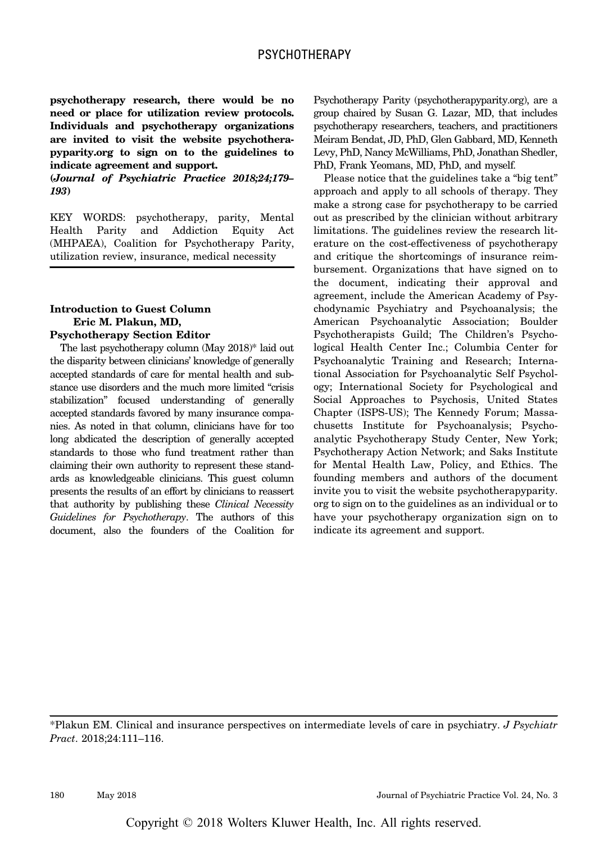psychotherapy research, there would be no need or place for utilization review protocols. Individuals and psychotherapy organizations are invited to visit the website psychotherapyparity.org to sign on to the guidelines to indicate agreement and support.

(Journal of Psychiatric Practice 2018;24;179– 193)

KEY WORDS: psychotherapy, parity, Mental Health Parity and Addiction Equity Act (MHPAEA), Coalition for Psychotherapy Parity, utilization review, insurance, medical necessity

# Introduction to Guest Column Eric M. Plakun, MD,

#### Psychotherapy Section Editor

The last psychotherapy column (May 2018)\* laid out the disparity between clinicians' knowledge of generally accepted standards of care for mental health and substance use disorders and the much more limited "crisis stabilization" focused understanding of generally accepted standards favored by many insurance companies. As noted in that column, clinicians have for too long abdicated the description of generally accepted standards to those who fund treatment rather than claiming their own authority to represent these standards as knowledgeable clinicians. This guest column presents the results of an effort by clinicians to reassert that authority by publishing these Clinical Necessity Guidelines for Psychotherapy. The authors of this document, also the founders of the Coalition for Psychotherapy Parity (psychotherapyparity.org), are a group chaired by Susan G. Lazar, MD, that includes psychotherapy researchers, teachers, and practitioners Meiram Bendat, JD, PhD, Glen Gabbard, MD, Kenneth Levy, PhD, Nancy McWilliams, PhD, Jonathan Shedler, PhD, Frank Yeomans, MD, PhD, and myself.

Please notice that the guidelines take a "big tent" approach and apply to all schools of therapy. They make a strong case for psychotherapy to be carried out as prescribed by the clinician without arbitrary limitations. The guidelines review the research literature on the cost-effectiveness of psychotherapy and critique the shortcomings of insurance reimbursement. Organizations that have signed on to the document, indicating their approval and agreement, include the American Academy of Psychodynamic Psychiatry and Psychoanalysis; the American Psychoanalytic Association; Boulder Psychotherapists Guild; The Children's Psychological Health Center Inc.; Columbia Center for Psychoanalytic Training and Research; International Association for Psychoanalytic Self Psychology; International Society for Psychological and Social Approaches to Psychosis, United States Chapter (ISPS-US); The Kennedy Forum; Massachusetts Institute for Psychoanalysis; Psychoanalytic Psychotherapy Study Center, New York; Psychotherapy Action Network; and Saks Institute for Mental Health Law, Policy, and Ethics. The founding members and authors of the document invite you to visit the website psychotherapyparity. org to sign on to the guidelines as an individual or to have your psychotherapy organization sign on to indicate its agreement and support.

\*Plakun EM. Clinical and insurance perspectives on intermediate levels of care in psychiatry. J Psychiatr Pract. 2018;24:111–116.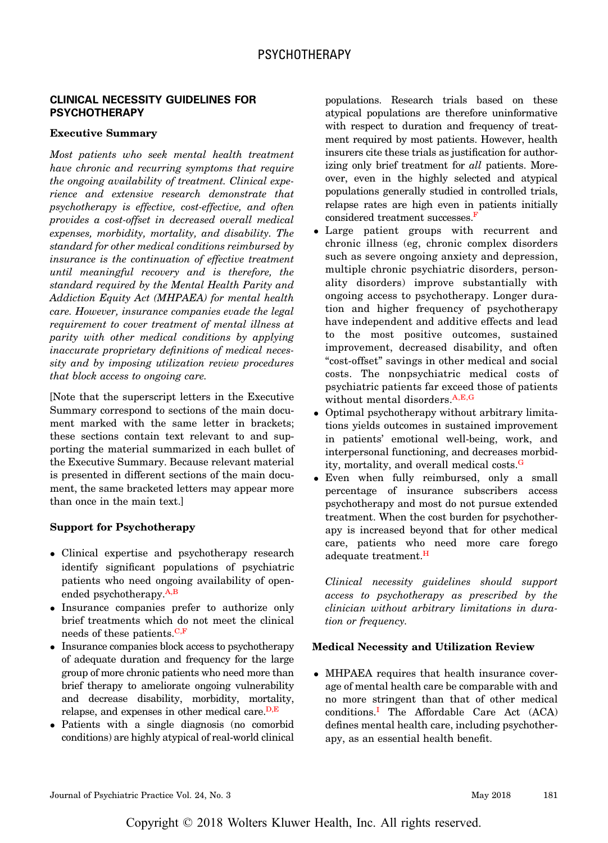## CLINICAL NECESSITY GUIDELINES FOR **PSYCHOTHERAPY**

#### Executive Summary

Most patients who seek mental health treatment have chronic and recurring symptoms that require the ongoing availability of treatment. Clinical experience and extensive research demonstrate that psychotherapy is effective, cost-effective, and often provides a cost-offset in decreased overall medical expenses, morbidity, mortality, and disability. The standard for other medical conditions reimbursed by insurance is the continuation of effective treatment until meaningful recovery and is therefore, the standard required by the Mental Health Parity and Addiction Equity Act (MHPAEA) for mental health care. However, insurance companies evade the legal requirement to cover treatment of mental illness at parity with other medical conditions by applying inaccurate proprietary definitions of medical necessity and by imposing utilization review procedures that block access to ongoing care.

[Note that the superscript letters in the Executive Summary correspond to sections of the main document marked with the same letter in brackets; these sections contain text relevant to and supporting the material summarized in each bullet of the Executive Summary. Because relevant material is presented in different sections of the main document, the same bracketed letters may appear more than once in the main text.]

### Support for Psychotherapy

- Clinical expertise and psychotherapy research identify significant populations of psychiatric patients who need ongoing availability of openended psychotherapy.A,B
- Insurance companies prefer to authorize only brief treatments which do not meet the clinical needs of these patients. $C, F$
- Insurance companies block access to psychotherapy of adequate duration and frequency for the large group of more chronic patients who need more than brief therapy to ameliorate ongoing vulnerability and decrease disability, morbidity, mortality, relapse, and expenses in other medical care. $D, E$
- Patients with a single diagnosis (no comorbid conditions) are highly atypical of real-world clinical

populations. Research trials based on these atypical populations are therefore uninformative with respect to duration and frequency of treatment required by most patients. However, health insurers cite these trials as justification for authorizing only brief treatment for all patients. Moreover, even in the highly selected and atypical populations generally studied in controlled trials, relapse rates are high even in patients initially considered treatment successes.F

- Large patient groups with recurrent and chronic illness (eg, chronic complex disorders such as severe ongoing anxiety and depression, multiple chronic psychiatric disorders, personality disorders) improve substantially with ongoing access to psychotherapy. Longer duration and higher frequency of psychotherapy have independent and additive effects and lead to the most positive outcomes, sustained improvement, decreased disability, and often "cost-offset" savings in other medical and social costs. The nonpsychiatric medical costs of psychiatric patients far exceed those of patients without mental disorders.A,E,G
- Optimal psychotherapy without arbitrary limitations yields outcomes in sustained improvement in patients' emotional well-being, work, and interpersonal functioning, and decreases morbidity, mortality, and overall medical costs.<sup>G</sup>
- Even when fully reimbursed, only a small percentage of insurance subscribers access psychotherapy and most do not pursue extended treatment. When the cost burden for psychotherapy is increased beyond that for other medical care, patients who need more care forego adequate treatment.<sup>H</sup>

Clinical necessity guidelines should support access to psychotherapy as prescribed by the clinician without arbitrary limitations in duration or frequency.

#### Medical Necessity and Utilization Review

 MHPAEA requires that health insurance coverage of mental health care be comparable with and no more stringent than that of other medical conditions.<sup>I</sup> The Affordable Care Act (ACA) defines mental health care, including psychotherapy, as an essential health benefit.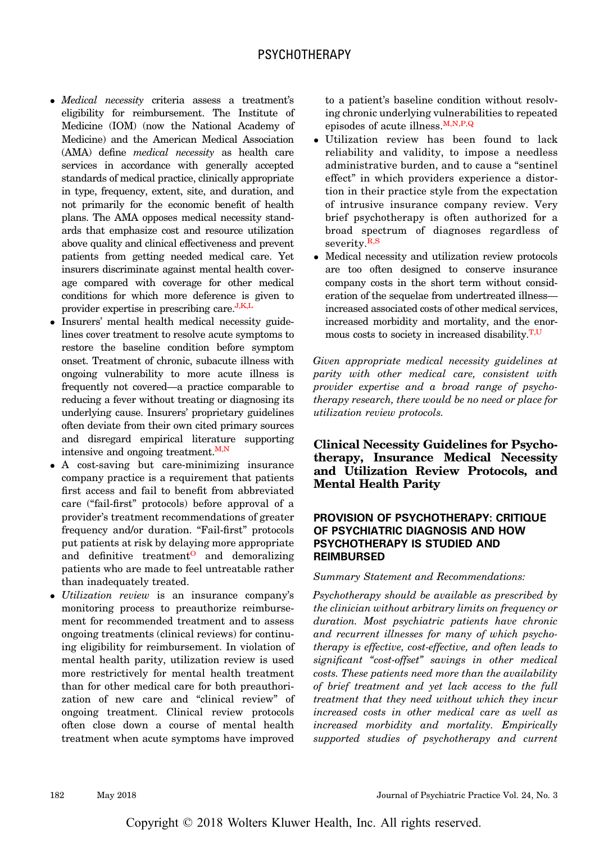- Medical necessity criteria assess a treatment's eligibility for reimbursement. The Institute of Medicine (IOM) (now the National Academy of Medicine) and the American Medical Association (AMA) define medical necessity as health care services in accordance with generally accepted standards of medical practice, clinically appropriate in type, frequency, extent, site, and duration, and not primarily for the economic benefit of health plans. The AMA opposes medical necessity standards that emphasize cost and resource utilization above quality and clinical effectiveness and prevent patients from getting needed medical care. Yet insurers discriminate against mental health coverage compared with coverage for other medical conditions for which more deference is given to provider expertise in prescribing care.<sup>J,K,L</sup>
- Insurers' mental health medical necessity guidelines cover treatment to resolve acute symptoms to restore the baseline condition before symptom onset. Treatment of chronic, subacute illness with ongoing vulnerability to more acute illness is frequently not covered—a practice comparable to reducing a fever without treating or diagnosing its underlying cause. Insurers' proprietary guidelines often deviate from their own cited primary sources and disregard empirical literature supporting intensive and ongoing treatment. $M,N$
- A cost-saving but care-minimizing insurance company practice is a requirement that patients first access and fail to benefit from abbreviated care ("fail-first" protocols) before approval of a provider's treatment recommendations of greater frequency and/or duration. "Fail-first" protocols put patients at risk by delaying more appropriate and definitive treatment<sup> $\Omega$ </sup> and demoralizing patients who are made to feel untreatable rather than inadequately treated.
- Utilization review is an insurance company's monitoring process to preauthorize reimbursement for recommended treatment and to assess ongoing treatments (clinical reviews) for continuing eligibility for reimbursement. In violation of mental health parity, utilization review is used more restrictively for mental health treatment than for other medical care for both preauthorization of new care and "clinical review" of ongoing treatment. Clinical review protocols often close down a course of mental health treatment when acute symptoms have improved

to a patient's baseline condition without resolving chronic underlying vulnerabilities to repeated episodes of acute illness. $M, N, P, Q$ 

- Utilization review has been found to lack reliability and validity, to impose a needless administrative burden, and to cause a "sentinel effect" in which providers experience a distortion in their practice style from the expectation of intrusive insurance company review. Very brief psychotherapy is often authorized for a broad spectrum of diagnoses regardless of severity.<sup>R,S</sup>
- Medical necessity and utilization review protocols are too often designed to conserve insurance company costs in the short term without consideration of the sequelae from undertreated illness increased associated costs of other medical services, increased morbidity and mortality, and the enormous costs to society in increased disability. $T, U$

Given appropriate medical necessity guidelines at parity with other medical care, consistent with provider expertise and a broad range of psychotherapy research, there would be no need or place for utilization review protocols.

Clinical Necessity Guidelines for Psychotherapy, Insurance Medical Necessity and Utilization Review Protocols, and Mental Health Parity

# PROVISION OF PSYCHOTHERAPY: CRITIQUE OF PSYCHIATRIC DIAGNOSIS AND HOW PSYCHOTHERAPY IS STUDIED AND REIMBURSED

## Summary Statement and Recommendations:

Psychotherapy should be available as prescribed by the clinician without arbitrary limits on frequency or duration. Most psychiatric patients have chronic and recurrent illnesses for many of which psychotherapy is effective, cost-effective, and often leads to significant "cost-offset" savings in other medical costs. These patients need more than the availability of brief treatment and yet lack access to the full treatment that they need without which they incur increased costs in other medical care as well as increased morbidity and mortality. Empirically supported studies of psychotherapy and current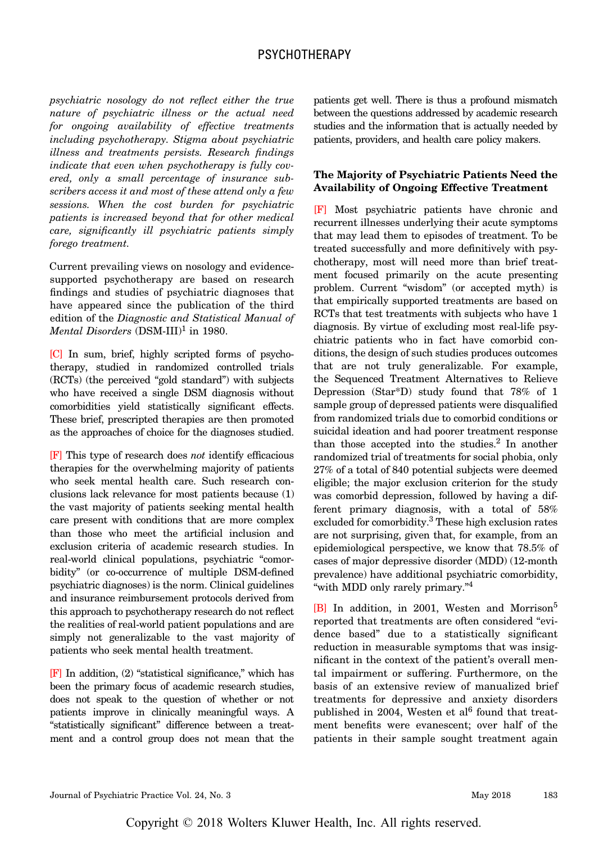psychiatric nosology do not reflect either the true nature of psychiatric illness or the actual need for ongoing availability of effective treatments including psychotherapy. Stigma about psychiatric illness and treatments persists. Research findings indicate that even when psychotherapy is fully covered, only a small percentage of insurance subscribers access it and most of these attend only a few sessions. When the cost burden for psychiatric patients is increased beyond that for other medical care, significantly ill psychiatric patients simply forego treatment.

Current prevailing views on nosology and evidencesupported psychotherapy are based on research findings and studies of psychiatric diagnoses that have appeared since the publication of the third edition of the Diagnostic and Statistical Manual of Mental Disorders  $(DSM-III)^1$  in 1980.

[C] In sum, brief, highly scripted forms of psychotherapy, studied in randomized controlled trials (RCTs) (the perceived "gold standard") with subjects who have received a single DSM diagnosis without comorbidities yield statistically significant effects. These brief, prescripted therapies are then promoted as the approaches of choice for the diagnoses studied.

[F] This type of research does not identify efficacious therapies for the overwhelming majority of patients who seek mental health care. Such research conclusions lack relevance for most patients because (1) the vast majority of patients seeking mental health care present with conditions that are more complex than those who meet the artificial inclusion and exclusion criteria of academic research studies. In real-world clinical populations, psychiatric "comorbidity" (or co-occurrence of multiple DSM-defined psychiatric diagnoses) is the norm. Clinical guidelines and insurance reimbursement protocols derived from this approach to psychotherapy research do not reflect the realities of real-world patient populations and are simply not generalizable to the vast majority of patients who seek mental health treatment.

[F] In addition, (2) "statistical significance," which has been the primary focus of academic research studies, does not speak to the question of whether or not patients improve in clinically meaningful ways. A "statistically significant" difference between a treatment and a control group does not mean that the patients get well. There is thus a profound mismatch between the questions addressed by academic research studies and the information that is actually needed by patients, providers, and health care policy makers.

## The Majority of Psychiatric Patients Need the Availability of Ongoing Effective Treatment

[F] Most psychiatric patients have chronic and recurrent illnesses underlying their acute symptoms that may lead them to episodes of treatment. To be treated successfully and more definitively with psychotherapy, most will need more than brief treatment focused primarily on the acute presenting problem. Current "wisdom" (or accepted myth) is that empirically supported treatments are based on RCTs that test treatments with subjects who have 1 diagnosis. By virtue of excluding most real-life psychiatric patients who in fact have comorbid conditions, the design of such studies produces outcomes that are not truly generalizable. For example, the Sequenced Treatment Alternatives to Relieve Depression (Star\*D) study found that 78% of 1 sample group of depressed patients were disqualified from randomized trials due to comorbid conditions or suicidal ideation and had poorer treatment response than those accepted into the studies. $^2$  In another randomized trial of treatments for social phobia, only 27% of a total of 840 potential subjects were deemed eligible; the major exclusion criterion for the study was comorbid depression, followed by having a different primary diagnosis, with a total of 58% excluded for comorbidity.<sup>3</sup> These high exclusion rates are not surprising, given that, for example, from an epidemiological perspective, we know that 78.5% of cases of major depressive disorder (MDD) (12-month prevalence) have additional psychiatric comorbidity, "with MDD only rarely primary."<sup>4</sup>

[B] In addition, in 2001, Westen and Morrison<sup>5</sup> reported that treatments are often considered "evidence based" due to a statistically significant reduction in measurable symptoms that was insignificant in the context of the patient's overall mental impairment or suffering. Furthermore, on the basis of an extensive review of manualized brief treatments for depressive and anxiety disorders published in 2004, Westen et al<sup>6</sup> found that treatment benefits were evanescent; over half of the patients in their sample sought treatment again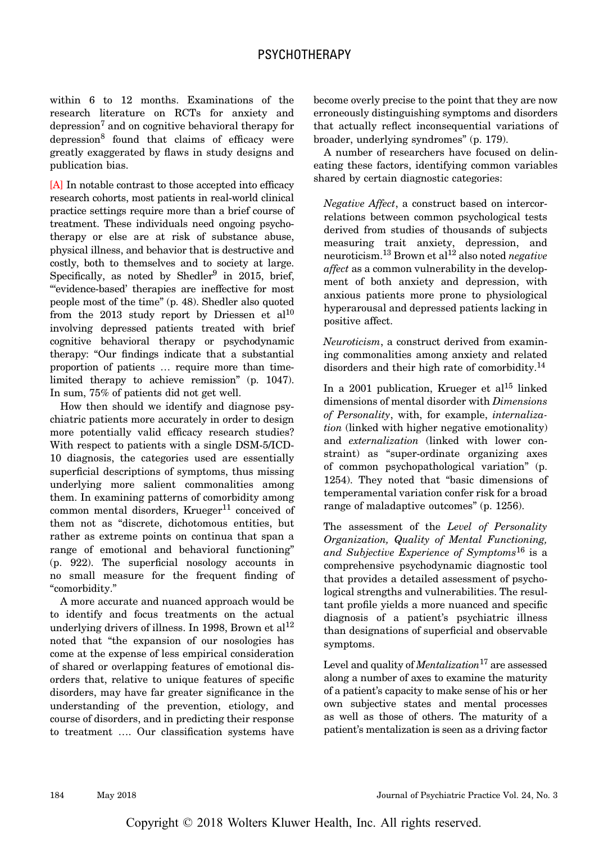within 6 to 12 months. Examinations of the research literature on RCTs for anxiety and depression<sup>7</sup> and on cognitive behavioral therapy for depression<sup>8</sup> found that claims of efficacy were greatly exaggerated by flaws in study designs and publication bias.

[A] In notable contrast to those accepted into efficacy research cohorts, most patients in real-world clinical practice settings require more than a brief course of treatment. These individuals need ongoing psychotherapy or else are at risk of substance abuse, physical illness, and behavior that is destructive and costly, both to themselves and to society at large. Specifically, as noted by Shedler<sup>9</sup> in 2015, brief, "'evidence-based' therapies are ineffective for most people most of the time" (p. 48). Shedler also quoted from the 2013 study report by Driessen et al<sup>10</sup> involving depressed patients treated with brief cognitive behavioral therapy or psychodynamic therapy: "Our findings indicate that a substantial proportion of patients … require more than timelimited therapy to achieve remission" (p. 1047). In sum, 75% of patients did not get well.

How then should we identify and diagnose psychiatric patients more accurately in order to design more potentially valid efficacy research studies? With respect to patients with a single DSM-5/ICD-10 diagnosis, the categories used are essentially superficial descriptions of symptoms, thus missing underlying more salient commonalities among them. In examining patterns of comorbidity among common mental disorders, Krueger<sup>11</sup> conceived of them not as "discrete, dichotomous entities, but rather as extreme points on continua that span a range of emotional and behavioral functioning" (p. 922). The superficial nosology accounts in no small measure for the frequent finding of "comorbidity."

A more accurate and nuanced approach would be to identify and focus treatments on the actual underlying drivers of illness. In 1998, Brown et  $al^{12}$ noted that "the expansion of our nosologies has come at the expense of less empirical consideration of shared or overlapping features of emotional disorders that, relative to unique features of specific disorders, may have far greater significance in the understanding of the prevention, etiology, and course of disorders, and in predicting their response to treatment …. Our classification systems have become overly precise to the point that they are now erroneously distinguishing symptoms and disorders that actually reflect inconsequential variations of broader, underlying syndromes" (p. 179).

A number of researchers have focused on delineating these factors, identifying common variables shared by certain diagnostic categories:

Negative Affect, a construct based on intercorrelations between common psychological tests derived from studies of thousands of subjects measuring trait anxiety, depression, and neuroticism.<sup>13</sup> Brown et al<sup>12</sup> also noted *negative* affect as a common vulnerability in the development of both anxiety and depression, with anxious patients more prone to physiological hyperarousal and depressed patients lacking in positive affect.

Neuroticism, a construct derived from examining commonalities among anxiety and related disorders and their high rate of comorbidity.<sup>14</sup>

In a 2001 publication, Krueger et al<sup>15</sup> linked dimensions of mental disorder with Dimensions of Personality, with, for example, internalization (linked with higher negative emotionality) and externalization (linked with lower constraint) as "super-ordinate organizing axes of common psychopathological variation" (p. 1254). They noted that "basic dimensions of temperamental variation confer risk for a broad range of maladaptive outcomes" (p. 1256).

The assessment of the Level of Personality Organization, Quality of Mental Functioning, and Subjective Experience of Symptoms<sup>16</sup> is a comprehensive psychodynamic diagnostic tool that provides a detailed assessment of psychological strengths and vulnerabilities. The resultant profile yields a more nuanced and specific diagnosis of a patient's psychiatric illness than designations of superficial and observable symptoms.

Level and quality of *Mentalization*<sup>17</sup> are assessed along a number of axes to examine the maturity of a patient's capacity to make sense of his or her own subjective states and mental processes as well as those of others. The maturity of a patient's mentalization is seen as a driving factor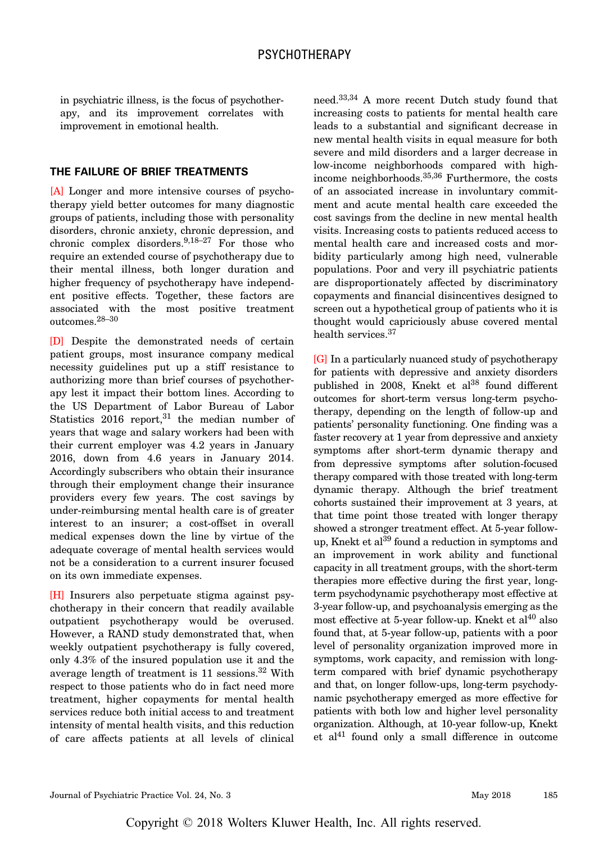in psychiatric illness, is the focus of psychotherapy, and its improvement correlates with improvement in emotional health.

## THE FAILURE OF BRIEF TREATMENTS

[A] Longer and more intensive courses of psychotherapy yield better outcomes for many diagnostic groups of patients, including those with personality disorders, chronic anxiety, chronic depression, and chronic complex disorders.<sup>9,18–27</sup> For those who require an extended course of psychotherapy due to their mental illness, both longer duration and higher frequency of psychotherapy have independent positive effects. Together, these factors are associated with the most positive treatment outcomes.28–<sup>30</sup>

[D] Despite the demonstrated needs of certain patient groups, most insurance company medical necessity guidelines put up a stiff resistance to authorizing more than brief courses of psychotherapy lest it impact their bottom lines. According to the US Department of Labor Bureau of Labor Statistics  $2016$  report,<sup>31</sup> the median number of years that wage and salary workers had been with their current employer was 4.2 years in January 2016, down from 4.6 years in January 2014. Accordingly subscribers who obtain their insurance through their employment change their insurance providers every few years. The cost savings by under-reimbursing mental health care is of greater interest to an insurer; a cost-offset in overall medical expenses down the line by virtue of the adequate coverage of mental health services would not be a consideration to a current insurer focused on its own immediate expenses.

[H] Insurers also perpetuate stigma against psychotherapy in their concern that readily available outpatient psychotherapy would be overused. However, a RAND study demonstrated that, when weekly outpatient psychotherapy is fully covered, only 4.3% of the insured population use it and the average length of treatment is  $11$  sessions.<sup>32</sup> With respect to those patients who do in fact need more treatment, higher copayments for mental health services reduce both initial access to and treatment intensity of mental health visits, and this reduction of care affects patients at all levels of clinical

need.33,34 A more recent Dutch study found that increasing costs to patients for mental health care leads to a substantial and significant decrease in new mental health visits in equal measure for both severe and mild disorders and a larger decrease in low-income neighborhoods compared with highincome neighborhoods.35,36 Furthermore, the costs of an associated increase in involuntary commitment and acute mental health care exceeded the cost savings from the decline in new mental health visits. Increasing costs to patients reduced access to mental health care and increased costs and morbidity particularly among high need, vulnerable populations. Poor and very ill psychiatric patients are disproportionately affected by discriminatory copayments and financial disincentives designed to screen out a hypothetical group of patients who it is thought would capriciously abuse covered mental health services.<sup>37</sup>

[G] In a particularly nuanced study of psychotherapy for patients with depressive and anxiety disorders published in 2008, Knekt et al<sup>38</sup> found different outcomes for short-term versus long-term psychotherapy, depending on the length of follow-up and patients' personality functioning. One finding was a faster recovery at 1 year from depressive and anxiety symptoms after short-term dynamic therapy and from depressive symptoms after solution-focused therapy compared with those treated with long-term dynamic therapy. Although the brief treatment cohorts sustained their improvement at 3 years, at that time point those treated with longer therapy showed a stronger treatment effect. At 5-year followup, Knekt et al<sup>39</sup> found a reduction in symptoms and an improvement in work ability and functional capacity in all treatment groups, with the short-term therapies more effective during the first year, longterm psychodynamic psychotherapy most effective at 3-year follow-up, and psychoanalysis emerging as the most effective at 5-year follow-up. Knekt et  $al^{40}$  also found that, at 5-year follow-up, patients with a poor level of personality organization improved more in symptoms, work capacity, and remission with longterm compared with brief dynamic psychotherapy and that, on longer follow-ups, long-term psychodynamic psychotherapy emerged as more effective for patients with both low and higher level personality organization. Although, at 10-year follow-up, Knekt et al<sup>41</sup> found only a small difference in outcome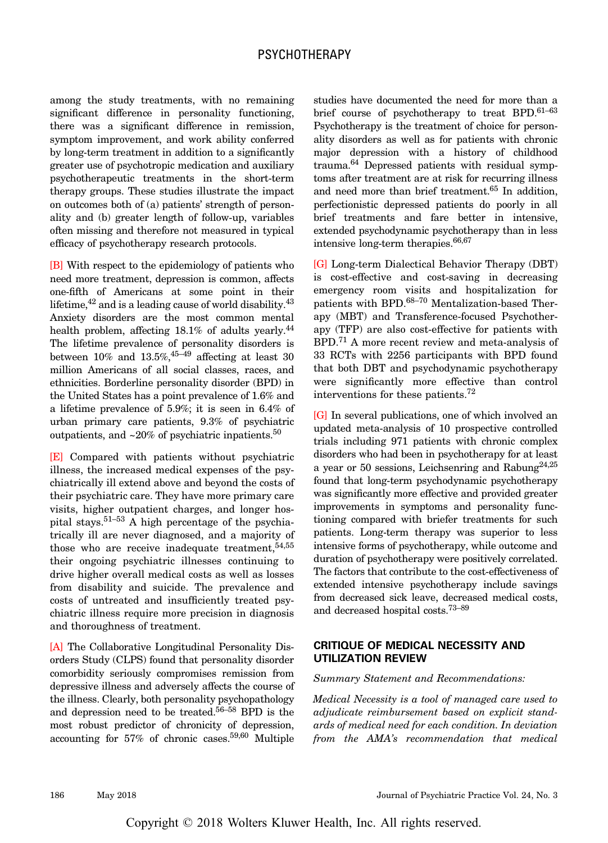among the study treatments, with no remaining significant difference in personality functioning, there was a significant difference in remission, symptom improvement, and work ability conferred by long-term treatment in addition to a significantly greater use of psychotropic medication and auxiliary psychotherapeutic treatments in the short-term therapy groups. These studies illustrate the impact on outcomes both of (a) patients' strength of personality and (b) greater length of follow-up, variables often missing and therefore not measured in typical efficacy of psychotherapy research protocols.

[B] With respect to the epidemiology of patients who need more treatment, depression is common, affects one-fifth of Americans at some point in their lifetime, $42$  and is a leading cause of world disability. $43$ Anxiety disorders are the most common mental health problem, affecting 18.1% of adults yearly.<sup>44</sup> The lifetime prevalence of personality disorders is between  $10\%$  and  $13.5\%,^{45-49}$  affecting at least 30 million Americans of all social classes, races, and ethnicities. Borderline personality disorder (BPD) in the United States has a point prevalence of 1.6% and a lifetime prevalence of 5.9%; it is seen in 6.4% of urban primary care patients, 9.3% of psychiatric outpatients, and  $\sim$ 20% of psychiatric inpatients.<sup>50</sup>

[E] Compared with patients without psychiatric illness, the increased medical expenses of the psychiatrically ill extend above and beyond the costs of their psychiatric care. They have more primary care visits, higher outpatient charges, and longer hospital stays.51–<sup>53</sup> A high percentage of the psychiatrically ill are never diagnosed, and a majority of those who are receive inadequate treatment,  $54,55$ their ongoing psychiatric illnesses continuing to drive higher overall medical costs as well as losses from disability and suicide. The prevalence and costs of untreated and insufficiently treated psychiatric illness require more precision in diagnosis and thoroughness of treatment.

[A] The Collaborative Longitudinal Personality Disorders Study (CLPS) found that personality disorder comorbidity seriously compromises remission from depressive illness and adversely affects the course of the illness. Clearly, both personality psychopathology and depression need to be treated.56–<sup>58</sup> BPD is the most robust predictor of chronicity of depression, accounting for 57% of chronic cases.59,60 Multiple studies have documented the need for more than a brief course of psychotherapy to treat BPD.<sup>61-63</sup> Psychotherapy is the treatment of choice for personality disorders as well as for patients with chronic major depression with a history of childhood trauma.64 Depressed patients with residual symptoms after treatment are at risk for recurring illness and need more than brief treatment.<sup>65</sup> In addition, perfectionistic depressed patients do poorly in all brief treatments and fare better in intensive, extended psychodynamic psychotherapy than in less intensive long-term therapies.66,67

[G] Long-term Dialectical Behavior Therapy (DBT) is cost-effective and cost-saving in decreasing emergency room visits and hospitalization for patients with BPD.68–<sup>70</sup> Mentalization-based Therapy (MBT) and Transference-focused Psychotherapy (TFP) are also cost-effective for patients with BPD.<sup>71</sup> A more recent review and meta-analysis of 33 RCTs with 2256 participants with BPD found that both DBT and psychodynamic psychotherapy were significantly more effective than control interventions for these patients.<sup>72</sup>

[G] In several publications, one of which involved an updated meta-analysis of 10 prospective controlled trials including 971 patients with chronic complex disorders who had been in psychotherapy for at least a year or 50 sessions, Leichsenring and Rabung<sup>24,25</sup> found that long-term psychodynamic psychotherapy was significantly more effective and provided greater improvements in symptoms and personality functioning compared with briefer treatments for such patients. Long-term therapy was superior to less intensive forms of psychotherapy, while outcome and duration of psychotherapy were positively correlated. The factors that contribute to the cost-effectiveness of extended intensive psychotherapy include savings from decreased sick leave, decreased medical costs, and decreased hospital costs.73–<sup>89</sup>

## CRITIQUE OF MEDICAL NECESSITY AND UTILIZATION REVIEW

#### Summary Statement and Recommendations:

Medical Necessity is a tool of managed care used to adjudicate reimbursement based on explicit standards of medical need for each condition. In deviation from the AMA's recommendation that medical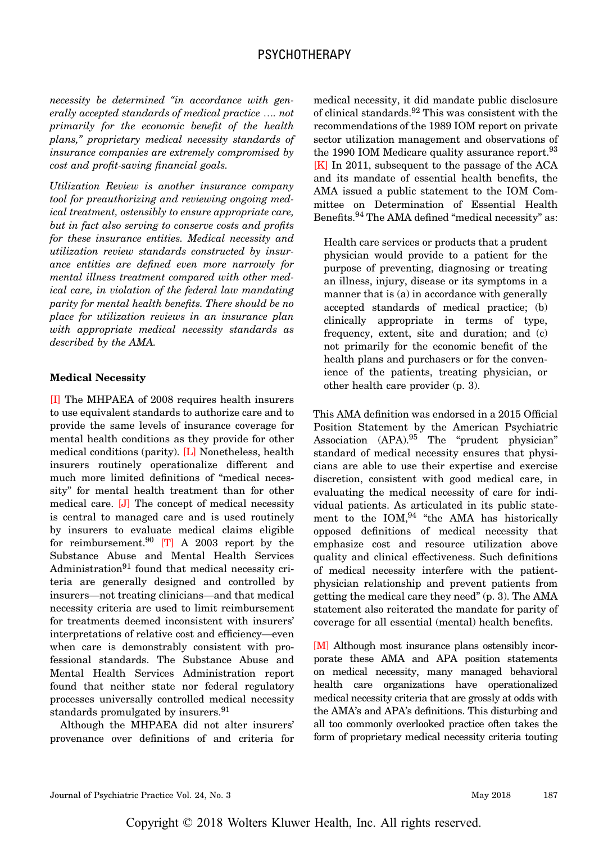necessity be determined "in accordance with generally accepted standards of medical practice …. not primarily for the economic benefit of the health plans," proprietary medical necessity standards of insurance companies are extremely compromised by cost and profit-saving financial goals.

Utilization Review is another insurance company tool for preauthorizing and reviewing ongoing medical treatment, ostensibly to ensure appropriate care, but in fact also serving to conserve costs and profits for these insurance entities. Medical necessity and utilization review standards constructed by insurance entities are defined even more narrowly for mental illness treatment compared with other medical care, in violation of the federal law mandating parity for mental health benefits. There should be no place for utilization reviews in an insurance plan with appropriate medical necessity standards as described by the AMA.

#### Medical Necessity

[I] The MHPAEA of 2008 requires health insurers to use equivalent standards to authorize care and to provide the same levels of insurance coverage for mental health conditions as they provide for other medical conditions (parity). [L] Nonetheless, health insurers routinely operationalize different and much more limited definitions of "medical necessity" for mental health treatment than for other medical care. [J] The concept of medical necessity is central to managed care and is used routinely by insurers to evaluate medical claims eligible for reimbursement. $90$  [T] A 2003 report by the Substance Abuse and Mental Health Services Administration $91$  found that medical necessity criteria are generally designed and controlled by insurers—not treating clinicians—and that medical necessity criteria are used to limit reimbursement for treatments deemed inconsistent with insurers' interpretations of relative cost and efficiency—even when care is demonstrably consistent with professional standards. The Substance Abuse and Mental Health Services Administration report found that neither state nor federal regulatory processes universally controlled medical necessity standards promulgated by insurers.<sup>91</sup>

Although the MHPAEA did not alter insurers' provenance over definitions of and criteria for

medical necessity, it did mandate public disclosure of clinical standards.<sup>92</sup> This was consistent with the recommendations of the 1989 IOM report on private sector utilization management and observations of the 1990 IOM Medicare quality assurance report.<sup>93</sup> [K] In 2011, subsequent to the passage of the ACA and its mandate of essential health benefits, the AMA issued a public statement to the IOM Committee on Determination of Essential Health Benefits.<sup>94</sup> The AMA defined "medical necessity" as:

Health care services or products that a prudent physician would provide to a patient for the purpose of preventing, diagnosing or treating an illness, injury, disease or its symptoms in a manner that is (a) in accordance with generally accepted standards of medical practice; (b) clinically appropriate in terms of type, frequency, extent, site and duration; and (c) not primarily for the economic benefit of the health plans and purchasers or for the convenience of the patients, treating physician, or other health care provider (p. 3).

This AMA definition was endorsed in a 2015 Official Position Statement by the American Psychiatric Association (APA).<sup>95</sup> The "prudent physician" standard of medical necessity ensures that physicians are able to use their expertise and exercise discretion, consistent with good medical care, in evaluating the medical necessity of care for individual patients. As articulated in its public statement to the  $IOM<sup>94</sup>$  "the AMA has historically opposed definitions of medical necessity that emphasize cost and resource utilization above quality and clinical effectiveness. Such definitions of medical necessity interfere with the patientphysician relationship and prevent patients from getting the medical care they need" (p. 3). The AMA statement also reiterated the mandate for parity of coverage for all essential (mental) health benefits.

[M] Although most insurance plans ostensibly incorporate these AMA and APA position statements on medical necessity, many managed behavioral health care organizations have operationalized medical necessity criteria that are grossly at odds with the AMA's and APA's definitions. This disturbing and all too commonly overlooked practice often takes the form of proprietary medical necessity criteria touting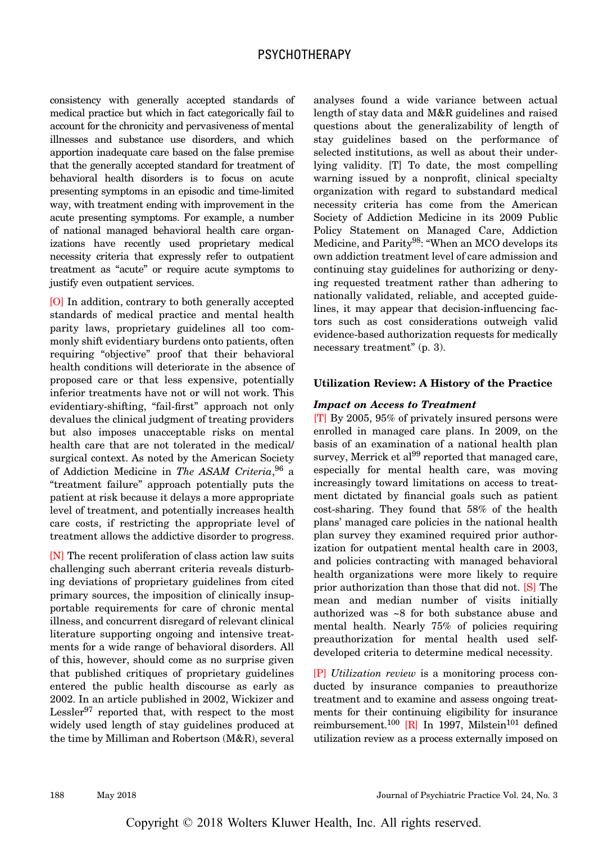consistency with generally accepted standards of medical practice but which in fact categorically fail to account for the chronicity and pervasiveness of mental illnesses and substance use disorders, and which apportion inadequate care based on the false premise that the generally accepted standard for treatment of behavioral health disorders is to focus on acute presenting symptoms in an episodic and time-limited way, with treatment ending with improvement in the acute presenting symptoms. For example, a number of national managed behavioral health care organizations have recently used proprietary medical necessity criteria that expressly refer to outpatient treatment as "acute" or require acute symptoms to justify even outpatient services.

[O] In addition, contrary to both generally accepted standards of medical practice and mental health parity laws, proprietary guidelines all too commonly shift evidentiary burdens onto patients, often requiring "objective" proof that their behavioral health conditions will deteriorate in the absence of proposed care or that less expensive, potentially inferior treatments have not or will not work. This evidentiary-shifting, "fail-first" approach not only devalues the clinical judgment of treating providers but also imposes unacceptable risks on mental health care that are not tolerated in the medical/ surgical context. As noted by the American Society of Addiction Medicine in The ASAM Criteria, 96 a "treatment failure" approach potentially puts the patient at risk because it delays a more appropriate level of treatment, and potentially increases health care costs, if restricting the appropriate level of treatment allows the addictive disorder to progress.

[N] The recent proliferation of class action law suits challenging such aberrant criteria reveals disturbing deviations of proprietary guidelines from cited primary sources, the imposition of clinically insupportable requirements for care of chronic mental illness, and concurrent disregard of relevant clinical literature supporting ongoing and intensive treatments for a wide range of behavioral disorders. All of this, however, should come as no surprise given that published critiques of proprietary guidelines entered the public health discourse as early as 2002. In an article published in 2002, Wickizer and Lessler<sup>97</sup> reported that, with respect to the most widely used length of stay guidelines produced at the time by Milliman and Robertson (M&R), several

analyses found a wide variance between actual length of stay data and M&R guidelines and raised questions about the generalizability of length of stay guidelines based on the performance of selected institutions, as well as about their underlying validity. [T] To date, the most compelling warning issued by a nonprofit, clinical specialty organization with regard to substandard medical necessity criteria has come from the American Society of Addiction Medicine in its 2009 Public Policy Statement on Managed Care, Addiction Medicine, and Parity<sup>98</sup>: "When an MCO develops its own addiction treatment level of care admission and continuing stay guidelines for authorizing or denying requested treatment rather than adhering to nationally validated, reliable, and accepted guidelines, it may appear that decision-influencing factors such as cost considerations outweigh valid evidence-based authorization requests for medically necessary treatment" (p. 3).

#### Utilization Review: A History of the Practice

#### Impact on Access to Treatment

[T] By 2005, 95% of privately insured persons were enrolled in managed care plans. In 2009, on the basis of an examination of a national health plan survey, Merrick et  $al^{99}$  reported that managed care, especially for mental health care, was moving increasingly toward limitations on access to treatment dictated by financial goals such as patient cost-sharing. They found that 58% of the health plans' managed care policies in the national health plan survey they examined required prior authorization for outpatient mental health care in 2003, and policies contracting with managed behavioral health organizations were more likely to require prior authorization than those that did not. [S] The mean and median number of visits initially authorized was ~8 for both substance abuse and mental health. Nearly 75% of policies requiring preauthorization for mental health used selfdeveloped criteria to determine medical necessity.

[P] Utilization review is a monitoring process conducted by insurance companies to preauthorize treatment and to examine and assess ongoing treatments for their continuing eligibility for insurance reimbursement.<sup>100</sup> [R] In 1997, Milstein<sup>101</sup> defined utilization review as a process externally imposed on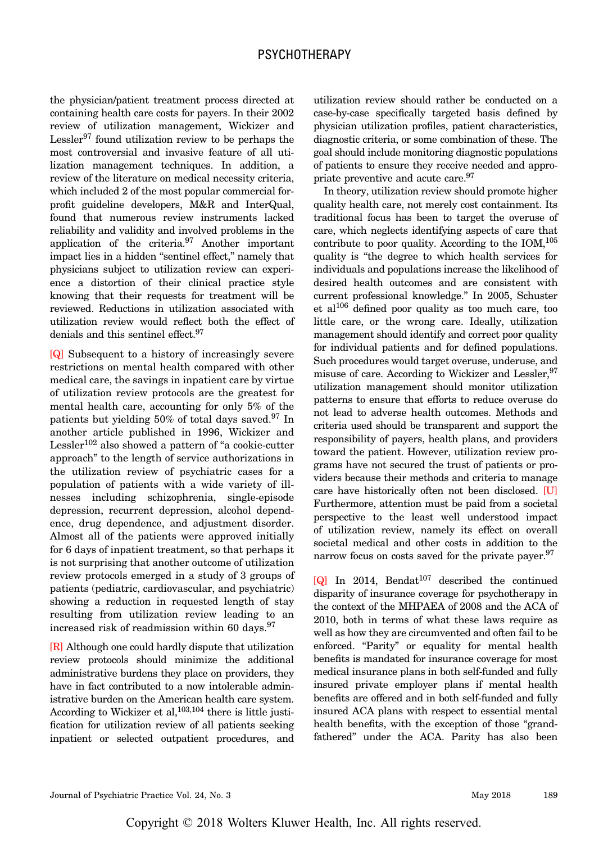the physician/patient treatment process directed at containing health care costs for payers. In their 2002 review of utilization management, Wickizer and Lessler<sup>97</sup> found utilization review to be perhaps the most controversial and invasive feature of all utilization management techniques. In addition, a review of the literature on medical necessity criteria, which included 2 of the most popular commercial forprofit guideline developers, M&R and InterQual, found that numerous review instruments lacked reliability and validity and involved problems in the application of the criteria.97 Another important impact lies in a hidden "sentinel effect," namely that physicians subject to utilization review can experience a distortion of their clinical practice style knowing that their requests for treatment will be reviewed. Reductions in utilization associated with utilization review would reflect both the effect of denials and this sentinel effect.<sup>97</sup>

[Q] Subsequent to a history of increasingly severe restrictions on mental health compared with other medical care, the savings in inpatient care by virtue of utilization review protocols are the greatest for mental health care, accounting for only 5% of the patients but yielding  $50\%$  of total days saved.<sup>97</sup> In another article published in 1996, Wickizer and Lessler<sup>102</sup> also showed a pattern of "a cookie-cutter approach" to the length of service authorizations in the utilization review of psychiatric cases for a population of patients with a wide variety of illnesses including schizophrenia, single-episode depression, recurrent depression, alcohol dependence, drug dependence, and adjustment disorder. Almost all of the patients were approved initially for 6 days of inpatient treatment, so that perhaps it is not surprising that another outcome of utilization review protocols emerged in a study of 3 groups of patients (pediatric, cardiovascular, and psychiatric) showing a reduction in requested length of stay resulting from utilization review leading to an increased risk of readmission within 60 days. $97$ 

[R] Although one could hardly dispute that utilization review protocols should minimize the additional administrative burdens they place on providers, they have in fact contributed to a now intolerable administrative burden on the American health care system. According to Wickizer et al,  $103,104$  there is little justification for utilization review of all patients seeking inpatient or selected outpatient procedures, and

utilization review should rather be conducted on a case-by-case specifically targeted basis defined by physician utilization profiles, patient characteristics, diagnostic criteria, or some combination of these. The goal should include monitoring diagnostic populations of patients to ensure they receive needed and appropriate preventive and acute care.<sup>97</sup>

In theory, utilization review should promote higher quality health care, not merely cost containment. Its traditional focus has been to target the overuse of care, which neglects identifying aspects of care that contribute to poor quality. According to the  $IOM<sub>1</sub><sup>105</sup>$ quality is "the degree to which health services for individuals and populations increase the likelihood of desired health outcomes and are consistent with current professional knowledge." In 2005, Schuster et al106 defined poor quality as too much care, too little care, or the wrong care. Ideally, utilization management should identify and correct poor quality for individual patients and for defined populations. Such procedures would target overuse, underuse, and misuse of care. According to Wickizer and Lessler, <sup>97</sup> utilization management should monitor utilization patterns to ensure that efforts to reduce overuse do not lead to adverse health outcomes. Methods and criteria used should be transparent and support the responsibility of payers, health plans, and providers toward the patient. However, utilization review programs have not secured the trust of patients or providers because their methods and criteria to manage care have historically often not been disclosed. [U] Furthermore, attention must be paid from a societal perspective to the least well understood impact of utilization review, namely its effect on overall societal medical and other costs in addition to the narrow focus on costs saved for the private payer.<sup>97</sup>

 $[Q]$  In 2014, Bendat<sup>107</sup> described the continued disparity of insurance coverage for psychotherapy in the context of the MHPAEA of 2008 and the ACA of 2010, both in terms of what these laws require as well as how they are circumvented and often fail to be enforced. "Parity" or equality for mental health benefits is mandated for insurance coverage for most medical insurance plans in both self-funded and fully insured private employer plans if mental health benefits are offered and in both self-funded and fully insured ACA plans with respect to essential mental health benefits, with the exception of those "grandfathered" under the ACA. Parity has also been

Copyright © 2018 Wolters Kluwer Health, Inc. All rights reserved.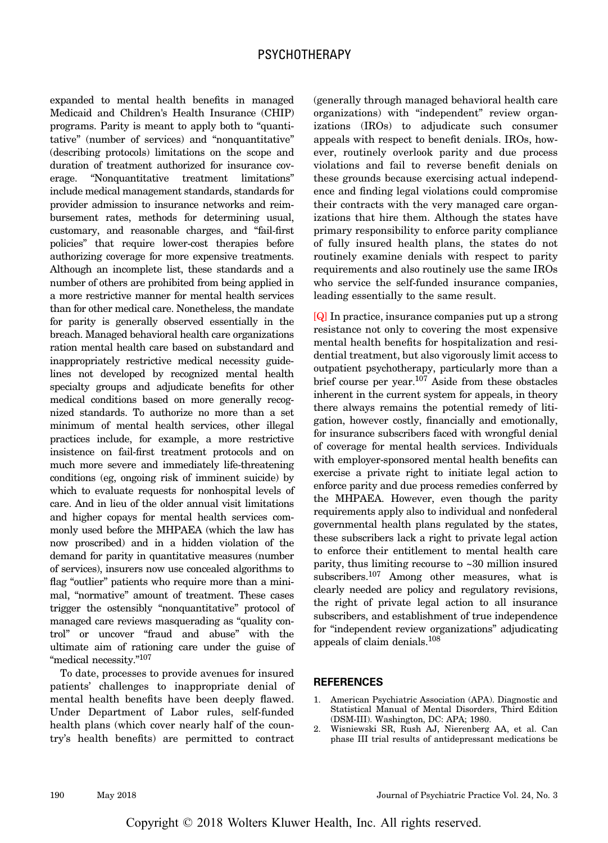expanded to mental health benefits in managed Medicaid and Children's Health Insurance (CHIP) programs. Parity is meant to apply both to "quantitative" (number of services) and "nonquantitative" (describing protocols) limitations on the scope and duration of treatment authorized for insurance coverage. "Nonquantitative treatment limitations" include medical management standards, standards for provider admission to insurance networks and reimbursement rates, methods for determining usual, customary, and reasonable charges, and "fail-first policies" that require lower-cost therapies before authorizing coverage for more expensive treatments. Although an incomplete list, these standards and a number of others are prohibited from being applied in a more restrictive manner for mental health services than for other medical care. Nonetheless, the mandate for parity is generally observed essentially in the breach. Managed behavioral health care organizations ration mental health care based on substandard and inappropriately restrictive medical necessity guidelines not developed by recognized mental health specialty groups and adjudicate benefits for other medical conditions based on more generally recognized standards. To authorize no more than a set minimum of mental health services, other illegal practices include, for example, a more restrictive insistence on fail-first treatment protocols and on much more severe and immediately life-threatening conditions (eg, ongoing risk of imminent suicide) by which to evaluate requests for nonhospital levels of care. And in lieu of the older annual visit limitations and higher copays for mental health services commonly used before the MHPAEA (which the law has now proscribed) and in a hidden violation of the demand for parity in quantitative measures (number of services), insurers now use concealed algorithms to flag "outlier" patients who require more than a minimal, "normative" amount of treatment. These cases trigger the ostensibly "nonquantitative" protocol of managed care reviews masquerading as "quality control" or uncover "fraud and abuse" with the ultimate aim of rationing care under the guise of "medical necessity."<sup>107</sup>

To date, processes to provide avenues for insured patients' challenges to inappropriate denial of mental health benefits have been deeply flawed. Under Department of Labor rules, self-funded health plans (which cover nearly half of the country's health benefits) are permitted to contract

(generally through managed behavioral health care organizations) with "independent" review organizations (IROs) to adjudicate such consumer appeals with respect to benefit denials. IROs, however, routinely overlook parity and due process violations and fail to reverse benefit denials on these grounds because exercising actual independence and finding legal violations could compromise their contracts with the very managed care organizations that hire them. Although the states have primary responsibility to enforce parity compliance of fully insured health plans, the states do not routinely examine denials with respect to parity requirements and also routinely use the same IROs who service the self-funded insurance companies, leading essentially to the same result.

[Q] In practice, insurance companies put up a strong resistance not only to covering the most expensive mental health benefits for hospitalization and residential treatment, but also vigorously limit access to outpatient psychotherapy, particularly more than a brief course per year.<sup>107</sup> Aside from these obstacles inherent in the current system for appeals, in theory there always remains the potential remedy of litigation, however costly, financially and emotionally, for insurance subscribers faced with wrongful denial of coverage for mental health services. Individuals with employer-sponsored mental health benefits can exercise a private right to initiate legal action to enforce parity and due process remedies conferred by the MHPAEA. However, even though the parity requirements apply also to individual and nonfederal governmental health plans regulated by the states, these subscribers lack a right to private legal action to enforce their entitlement to mental health care parity, thus limiting recourse to ~30 million insured subscribers.<sup>107</sup> Among other measures, what is clearly needed are policy and regulatory revisions, the right of private legal action to all insurance subscribers, and establishment of true independence for "independent review organizations" adjudicating appeals of claim denials.108

#### **REFERENCES**

- 1. American Psychiatric Association (APA). Diagnostic and Statistical Manual of Mental Disorders, Third Edition (DSM-III). Washington, DC: APA; 1980.
- 2. Wisniewski SR, Rush AJ, Nierenberg AA, et al. Can phase III trial results of antidepressant medications be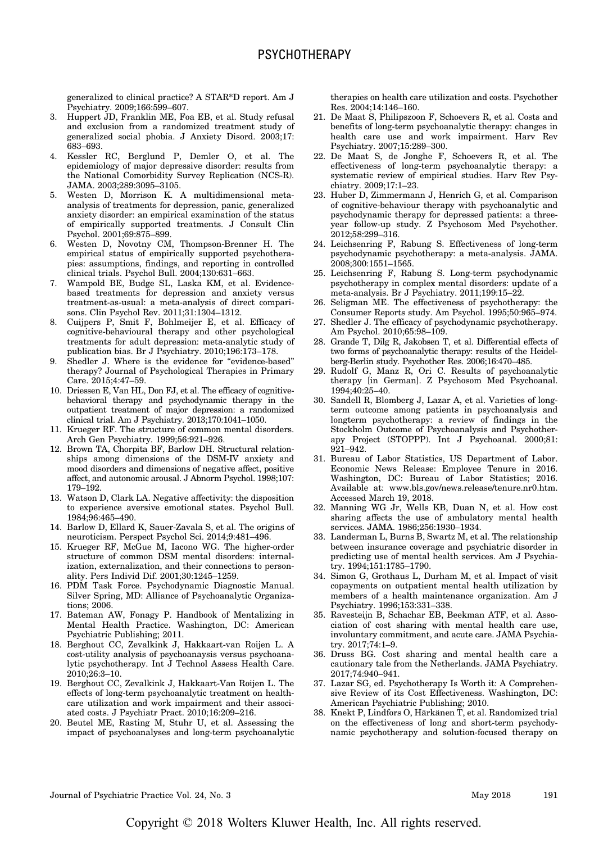generalized to clinical practice? A STAR\*D report. Am J Psychiatry. 2009;166:599–607.

- 3. Huppert JD, Franklin ME, Foa EB, et al. Study refusal and exclusion from a randomized treatment study of generalized social phobia. J Anxiety Disord. 2003;17: 683–693.
- 4. Kessler RC, Berglund P, Demler O, et al. The epidemiology of major depressive disorder: results from the National Comorbidity Survey Replication (NCS-R). JAMA. 2003;289:3095–3105.
- 5. Westen D, Morrison K. A multidimensional metaanalysis of treatments for depression, panic, generalized anxiety disorder: an empirical examination of the status of empirically supported treatments. J Consult Clin Psychol. 2001;69:875–899.
- 6. Westen D, Novotny CM, Thompson-Brenner H. The empirical status of empirically supported psychotherapies: assumptions, findings, and reporting in controlled clinical trials. Psychol Bull. 2004;130:631–663.
- 7. Wampold BE, Budge SL, Laska KM, et al. Evidencebased treatments for depression and anxiety versus treatment-as-usual: a meta-analysis of direct comparisons. Clin Psychol Rev. 2011;31:1304–1312.
- 8. Cuijpers P, Smit F, Bohlmeijer E, et al. Efficacy of cognitive-behavioural therapy and other psychological treatments for adult depression: meta-analytic study of publication bias. Br J Psychiatry. 2010;196:173–178.
- 9. Shedler J. Where is the evidence for "evidence-based" therapy? Journal of Psychological Therapies in Primary Care. 2015;4:47–59.
- 10. Driessen E, Van HL, Don FJ, et al. The efficacy of cognitivebehavioral therapy and psychodynamic therapy in the outpatient treatment of major depression: a randomized clinical trial. Am J Psychiatry. 2013;170:1041–1050.
- 11. Krueger RF. The structure of common mental disorders. Arch Gen Psychiatry. 1999;56:921–926.
- 12. Brown TA, Chorpita BF, Barlow DH. Structural relationships among dimensions of the DSM-IV anxiety and mood disorders and dimensions of negative affect, positive affect, and autonomic arousal. J Abnorm Psychol. 1998;107: 179–192.
- 13. Watson D, Clark LA. Negative affectivity: the disposition to experience aversive emotional states. Psychol Bull. 1984;96:465–490.
- 14. Barlow D, Ellard K, Sauer-Zavala S, et al. The origins of neuroticism. Perspect Psychol Sci. 2014;9:481–496.
- 15. Krueger RF, McGue M, Iacono WG. The higher-order structure of common DSM mental disorders: internalization, externalization, and their connections to personality. Pers Individ Dif. 2001;30:1245–1259.
- 16. PDM Task Force. Psychodynamic Diagnostic Manual. Silver Spring, MD: Alliance of Psychoanalytic Organizations; 2006.
- 17. Bateman AW, Fonagy P. Handbook of Mentalizing in Mental Health Practice. Washington, DC: American Psychiatric Publishing; 2011.
- 18. Berghout CC, Zevalkink J, Hakkaart-van Roijen L. A cost-utility analysis of psychoanaysis versus psychoanalytic psychotherapy. Int J Technol Assess Health Care. 2010;26:3–10.
- 19. Berghout CC, Zevalkink J, Hakkaart-Van Roijen L. The effects of long-term psychoanalytic treatment on healthcare utilization and work impairment and their associated costs. J Psychiatr Pract. 2010;16:209–216.
- 20. Beutel ME, Rasting M, Stuhr U, et al. Assessing the impact of psychoanalyses and long-term psychoanalytic

therapies on health care utilization and costs. Psychother Res. 2004;14:146–160.

- 21. De Maat S, Philipszoon F, Schoevers R, et al. Costs and benefits of long-term psychoanalytic therapy: changes in health care use and work impairment. Harv Rev Psychiatry. 2007;15:289–300.
- 22. De Maat S, de Jonghe F, Schoevers R, et al. The effectiveness of long-term psychoanalytic therapy: a systematic review of empirical studies. Harv Rev Psychiatry. 2009;17:1–23.
- 23. Huber D, Zimmermann J, Henrich G, et al. Comparison of cognitive-behaviour therapy with psychoanalytic and psychodynamic therapy for depressed patients: a threeyear follow-up study. Z Psychosom Med Psychother. 2012;58:299–316.
- 24. Leichsenring F, Rabung S. Effectiveness of long-term psychodynamic psychotherapy: a meta-analysis. JAMA. 2008;300:1551–1565.
- 25. Leichsenring F, Rabung S. Long-term psychodynamic psychotherapy in complex mental disorders: update of a meta-analysis. Br J Psychiatry. 2011;199:15–22.
- 26. Seligman ME. The effectiveness of psychotherapy: the Consumer Reports study. Am Psychol. 1995;50:965–974.
- 27. Shedler J. The efficacy of psychodynamic psychotherapy. Am Psychol. 2010;65:98–109.
- 28. Grande T, Dilg R, Jakobsen T, et al. Differential effects of two forms of psychoanalytic therapy: results of the Heidelberg-Berlin study. Psychother Res. 2006;16:470–485.
- 29. Rudolf G, Manz R, Ori C. Results of psychoanalytic therapy [in German]. Z Psychosom Med Psychoanal. 1994;40:25–40.
- 30. Sandell R, Blomberg J, Lazar A, et al. Varieties of longterm outcome among patients in psychoanalysis and longterm psychotherapy: a review of findings in the Stockholm Outcome of Psychoanalysis and Psychotherapy Project (STOPPP). Int J Psychoanal. 2000;81: 921–942.
- 31. Bureau of Labor Statistics, US Department of Labor. Economic News Release: Employee Tenure in 2016. Washington, DC: Bureau of Labor Statistics; 2016. Available at: [www.bls.gov/news.release/tenure.nr0.htm](http://www.bls.gov/news.release/tenure.nr0.htm). Accessed March 19, 2018.
- 32. Manning WG Jr, Wells KB, Duan N, et al. How cost sharing affects the use of ambulatory mental health services. JAMA. 1986;256:1930–1934.
- 33. Landerman L, Burns B, Swartz M, et al. The relationship between insurance coverage and psychiatric disorder in predicting use of mental health services. Am J Psychiatry. 1994;151:1785–1790.
- 34. Simon G, Grothaus L, Durham M, et al. Impact of visit copayments on outpatient mental health utilization by members of a health maintenance organization. Am J Psychiatry. 1996;153:331–338.
- 35. Ravesteijn B, Schachar EB, Beekman ATF, et al. Association of cost sharing with mental health care use, involuntary commitment, and acute care. JAMA Psychiatry. 2017;74:1–9.
- 36. Druss BG. Cost sharing and mental health care a cautionary tale from the Netherlands. JAMA Psychiatry. 2017;74:940–941.
- 37. Lazar SG, ed. Psychotherapy Is Worth it: A Comprehensive Review of its Cost Effectiveness. Washington, DC: American Psychiatric Publishing; 2010.
- 38. Knekt P, Lindfors O, Härkänen T, et al. Randomized trial on the effectiveness of long and short-term psychodynamic psychotherapy and solution-focused therapy on

Journal of Psychiatric Practice Vol. 24, No. 3 May 2018 191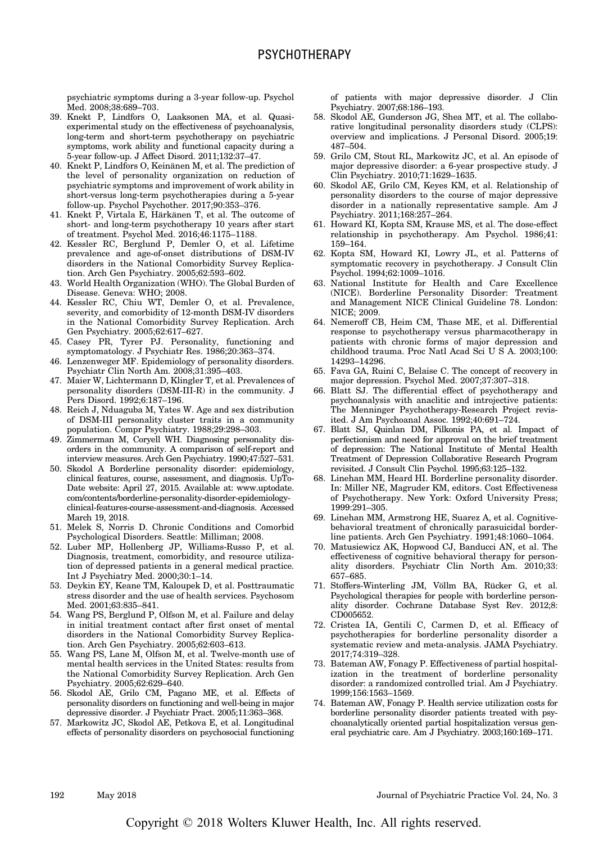psychiatric symptoms during a 3-year follow-up. Psychol Med. 2008;38:689–703.

- 39. Knekt P, Lindfors O, Laaksonen MA, et al. Quasiexperimental study on the effectiveness of psychoanalysis, long-term and short-term psychotherapy on psychiatric symptoms, work ability and functional capacity during a 5-year follow-up. J Affect Disord. 2011;132:37–47.
- 40. Knekt P, Lindfors O, Keinänen M, et al. The prediction of the level of personality organization on reduction of psychiatric symptoms and improvement of work ability in short-versus long-term psychotherapies during a 5-year follow-up. Psychol Psychother. 2017;90:353–376.
- 41. Knekt P, Virtala E, Härkänen T, et al. The outcome of short- and long-term psychotherapy 10 years after start of treatment. Psychol Med. 2016;46:1175–1188.
- 42. Kessler RC, Berglund P, Demler O, et al. Lifetime prevalence and age-of-onset distributions of DSM-IV disorders in the National Comorbidity Survey Replication. Arch Gen Psychiatry. 2005;62:593–602.
- 43. World Health Organization (WHO). The Global Burden of Disease. Geneva: WHO; 2008.
- 44. Kessler RC, Chiu WT, Demler O, et al. Prevalence, severity, and comorbidity of 12-month DSM-IV disorders in the National Comorbidity Survey Replication. Arch Gen Psychiatry. 2005;62:617–627.
- 45. Casey PR, Tyrer PJ. Personality, functioning and symptomatology. J Psychiatr Res. 1986;20:363–374.
- 46. Lenzenweger MF. Epidemiology of personality disorders. Psychiatr Clin North Am. 2008;31:395–403.
- 47. Maier W, Lichtermann D, Klingler T, et al. Prevalences of personality disorders (DSM-III-R) in the community. J Pers Disord. 1992;6:187–196.
- 48. Reich J, Nduaguba M, Yates W. Age and sex distribution of DSM-III personality cluster traits in a community population. Compr Psychiatry. 1988;29:298–303.
- 49. Zimmerman M, Coryell WH. Diagnosing personality disorders in the community. A comparison of self-report and interview measures. Arch Gen Psychiatry. 1990;47:527–531.
- 50. Skodol A Borderline personality disorder: epidemiology, clinical features, course, assessment, and diagnosis. UpTo-Date website: April 27, 2015. Available at: [www.uptodate.](http://www.uptodate.com/contents/borderline-personality-disorder-epidemiology-clinical-features-course-assessment-and-diagnosis) [com/contents/borderline-personality-disorder-epidemiology](http://www.uptodate.com/contents/borderline-personality-disorder-epidemiology-clinical-features-course-assessment-and-diagnosis)[clinical-features-course-assessment-and-diagnosis.](http://www.uptodate.com/contents/borderline-personality-disorder-epidemiology-clinical-features-course-assessment-and-diagnosis) Accessed March 19, 2018.
- 51. Melek S, Norris D. Chronic Conditions and Comorbid Psychological Disorders. Seattle: Milliman; 2008.
- 52. Luber MP, Hollenberg JP, Williams-Russo P, et al. Diagnosis, treatment, comorbidity, and resource utilization of depressed patients in a general medical practice. Int J Psychiatry Med. 2000;30:1–14.
- 53. Deykin EY, Keane TM, Kaloupek D, et al. Posttraumatic stress disorder and the use of health services. Psychosom Med. 2001;63:835–841.
- 54. Wang PS, Berglund P, Olfson M, et al. Failure and delay in initial treatment contact after first onset of mental disorders in the National Comorbidity Survey Replication. Arch Gen Psychiatry. 2005;62:603–613.
- 55. Wang PS, Lane M, Olfson M, et al. Twelve-month use of mental health services in the United States: results from the National Comorbidity Survey Replication. Arch Gen Psychiatry. 2005;62:629–640.
- 56. Skodol AE, Grilo CM, Pagano ME, et al. Effects of personality disorders on functioning and well-being in major depressive disorder. J Psychiatr Pract. 2005;11:363–368.
- 57. Markowitz JC, Skodol AE, Petkova E, et al. Longitudinal effects of personality disorders on psychosocial functioning

of patients with major depressive disorder. J Clin Psychiatry. 2007;68:186–193.

- 58. Skodol AE, Gunderson JG, Shea MT, et al. The collaborative longitudinal personality disorders study (CLPS): overview and implications. J Personal Disord. 2005;19: 487–504.
- 59. Grilo CM, Stout RL, Markowitz JC, et al. An episode of major depressive disorder: a 6-year prospective study. J Clin Psychiatry. 2010;71:1629–1635.
- 60. Skodol AE, Grilo CM, Keyes KM, et al. Relationship of personality disorders to the course of major depressive disorder in a nationally representative sample. Am J Psychiatry. 2011;168:257–264.
- 61. Howard KI, Kopta SM, Krause MS, et al. The dose-effect relationship in psychotherapy. Am Psychol. 1986;41: 159–164.
- 62. Kopta SM, Howard KI, Lowry JL, et al. Patterns of symptomatic recovery in psychotherapy. J Consult Clin Psychol. 1994;62:1009–1016.
- 63. National Institute for Health and Care Excellence (NICE). Borderline Personality Disorder: Treatment and Management NICE Clinical Guideline 78. London: NICE; 2009.
- 64. Nemeroff CB, Heim CM, Thase ME, et al. Differential response to psychotherapy versus pharmacotherapy in patients with chronic forms of major depression and childhood trauma. Proc Natl Acad Sci U S A. 2003;100: 14293–14296.
- 65. Fava GA, Ruini C, Belaise C. The concept of recovery in major depression. Psychol Med. 2007;37:307–318.
- 66. Blatt SJ. The differential effect of psychotherapy and psychoanalysis with anaclitic and introjective patients: The Menninger Psychotherapy-Research Project revisited. J Am Psychoanal Assoc. 1992;40:691–724.
- 67. Blatt SJ, Quinlan DM, Pilkonis PA, et al. Impact of perfectionism and need for approval on the brief treatment of depression: The National Institute of Mental Health Treatment of Depression Collaborative Research Program revisited. J Consult Clin Psychol. 1995;63:125–132.
- 68. Linehan MM, Heard HI. Borderline personality disorder. In: Miller NE, Magruder KM, editors. Cost Effectiveness of Psychotherapy. New York: Oxford University Press; 1999:291–305.
- 69. Linehan MM, Armstrong HE, Suarez A, et al. Cognitivebehavioral treatment of chronically parasuicidal borderline patients. Arch Gen Psychiatry. 1991;48:1060–1064.
- 70. Matusiewicz AK, Hopwood CJ, Banducci AN, et al. The effectiveness of cognitive behavioral therapy for personality disorders. Psychiatr Clin North Am. 2010;33: 657–685.
- 71. Stoffers-Winterling JM, Völlm BA, Rücker G, et al. Psychological therapies for people with borderline personality disorder. Cochrane Database Syst Rev. 2012;8: CD005652.
- 72. Cristea IA, Gentili C, Carmen D, et al. Efficacy of psychotherapies for borderline personality disorder a systematic review and meta-analysis. JAMA Psychiatry. 2017;74:319–328.
- 73. Bateman AW, Fonagy P. Effectiveness of partial hospitalization in the treatment of borderline personality disorder: a randomized controlled trial. Am J Psychiatry. 1999;156:1563–1569.
- 74. Bateman AW, Fonagy P. Health service utilization costs for borderline personality disorder patients treated with psychoanalytically oriented partial hospitalization versus general psychiatric care. Am J Psychiatry. 2003;160:169–171.